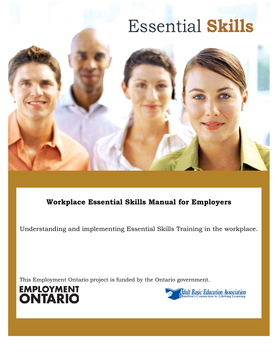# Essential **Skills**



# **Workplace Essential Skills Manual for Employers**

Understanding and implementing Essential Skills Training in the workplace.

This Employment Ontario project is funded by the Ontario government.



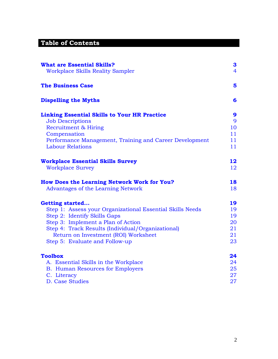# **Table of Contents**

| <b>What are Essential Skills?</b><br><b>Workplace Skills Reality Sampler</b> | 3<br>$\overline{4}$ |
|------------------------------------------------------------------------------|---------------------|
| <b>The Business Case</b>                                                     | 5                   |
| <b>Dispelling the Myths</b>                                                  | 6                   |
| <b>Linking Essential Skills to Your HR Practice</b>                          | 9                   |
| <b>Job Descriptions</b>                                                      | 9                   |
| Recruitment & Hiring                                                         | 10                  |
| Compensation                                                                 | 11                  |
| Performance Management, Training and Career Development                      | 11                  |
| <b>Labour Relations</b>                                                      | 11                  |
| <b>Workplace Essential Skills Survey</b>                                     | 12                  |
| <b>Workplace Survey</b>                                                      | 12                  |
| <b>How Does the Learning Network Work for You?</b>                           | 18                  |
| Advantages of the Learning Network                                           | 18                  |
| <b>Getting started</b>                                                       | 19                  |
| Step 1: Assess your Organizational Essential Skills Needs                    | 19                  |
| Step 2: Identify Skills Gaps                                                 | 19                  |
| Step 3: Implement a Plan of Action                                           | 20                  |
| Step 4: Track Results (Individual/Organizational)                            | 21                  |
| Return on Investment (ROI) Worksheet                                         | 21                  |
| Step 5: Evaluate and Follow-up                                               | 23                  |
| <b>Toolbox</b>                                                               | 24                  |
| A. Essential Skills in the Workplace                                         | 24                  |
| <b>B.</b> Human Resources for Employers                                      | 25                  |
| C. Literacy                                                                  | 27                  |
| D. Case Studies                                                              | 27                  |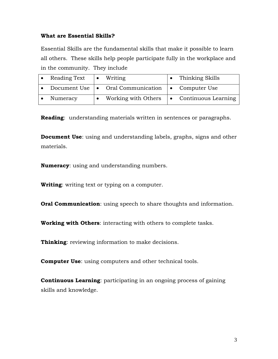#### <span id="page-2-0"></span>**What are Essential Skills?**

Essential Skills are the fundamental skills that make it possible to learn all others. These skills help people participate fully in the workplace and in the community. They include

| Reading Text | $\bullet$ Writing                                      | • Thinking Skills             |
|--------------|--------------------------------------------------------|-------------------------------|
|              | • Document Use   • Oral Communication   • Computer Use |                               |
| Numeracy     | Working with Others                                    | $\bullet$ Continuous Learning |

**Reading**: understanding materials written in sentences or paragraphs.

**Document Use**: using and understanding labels, graphs, signs and other materials.

**Numeracy**: using and understanding numbers.

**Writing**: writing text or typing on a computer.

**Oral Communication**: using speech to share thoughts and information.

**Working with Others**: interacting with others to complete tasks.

**Thinking**: reviewing information to make decisions.

**Computer Use**: using computers and other technical tools.

**Continuous Learning**: participating in an ongoing process of gaining skills and knowledge.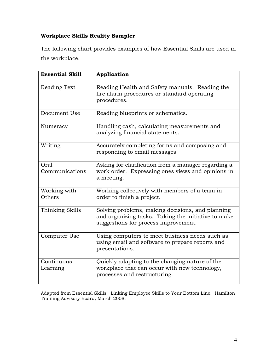# <span id="page-3-0"></span>**Workplace Skills Reality Sampler**

The following chart provides examples of how Essential Skills are used in the workplace.

| <b>Essential Skill</b> | Application                                                                                                                                     |
|------------------------|-------------------------------------------------------------------------------------------------------------------------------------------------|
| Reading Text           | Reading Health and Safety manuals. Reading the<br>fire alarm procedures or standard operating<br>procedures.                                    |
| Document Use           | Reading blueprints or schematics.                                                                                                               |
| Numeracy               | Handling cash, calculating measurements and<br>analyzing financial statements.                                                                  |
| Writing                | Accurately completing forms and composing and<br>responding to email messages.                                                                  |
| Oral<br>Communications | Asking for clarification from a manager regarding a<br>work order. Expressing ones views and opinions in<br>a meeting.                          |
| Working with<br>Others | Working collectively with members of a team in<br>order to finish a project.                                                                    |
| Thinking Skills        | Solving problems, making decisions, and planning<br>and organizing tasks. Taking the initiative to make<br>suggestions for process improvement. |
| Computer Use           | Using computers to meet business needs such as<br>using email and software to prepare reports and<br>presentations.                             |
| Continuous<br>Learning | Quickly adapting to the changing nature of the<br>workplace that can occur with new technology,<br>processes and restructuring.                 |

Adapted from Essential Skills: Linking Employee Skills to Your Bottom Line. Hamilton Training Advisory Board, March 2008.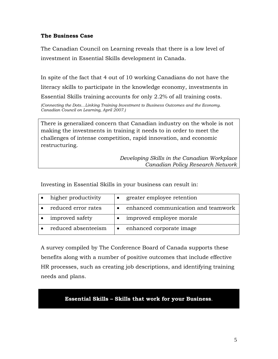# <span id="page-4-0"></span>**The Business Case**

The Canadian Council on Learning reveals that there is a low level of investment in Essential Skills development in Canada.

In spite of the fact that 4 out of 10 working Canadians do not have the literacy skills to participate in the knowledge economy, investments in Essential Skills training accounts for only 2.2% of all training costs.

*(Connecting the Dots…Linking Training Investment to Business Outcomes and the Economy. Canadian Council on Learning, April 2007.)* 

There is generalized concern that Canadian industry on the whole is not making the investments in training it needs to in order to meet the challenges of intense competition, rapid innovation, and economic restructuring.

> *Developing Skills in the Canadian Workplace Canadian Policy Research Network*

Investing in Essential Skills in your business can result in:

| higher productivity | $\bullet$ | greater employee retention          |
|---------------------|-----------|-------------------------------------|
| reduced error rates |           | enhanced communication and teamwork |
| improved safety     |           | improved employee morale            |
| reduced absenteeism | $\bullet$ | enhanced corporate image            |

A survey compiled by The Conference Board of Canada supports these benefits along with a number of positive outcomes that include effective HR processes, such as creating job descriptions, and identifying training needs and plans.

# **Essential Skills – Skills that work for your Business**.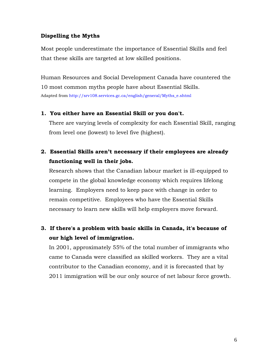#### <span id="page-5-0"></span>**Dispelling the Myths**

Most people underestimate the importance of Essential Skills and feel that these skills are targeted at low skilled positions.

Human Resources and Social Development Canada have countered the 10 most common myths people have about Essential Skills. Adapted from http://srv108.services.gc.ca/english/general/Myths\_e.shtml

#### **1. You either have an Essential Skill or you don't.**

There are varying levels of complexity for each Essential Skill, ranging from level one (lowest) to level five (highest).

# **2. Essential Skills aren't necessary if their employees are already functioning well in their jobs.**

Research shows that the Canadian labour market is ill-equipped to compete in the global knowledge economy which requires lifelong learning. Employers need to keep pace with change in order to remain competitive. Employees who have the Essential Skills necessary to learn new skills will help employers move forward.

# **3. If there's a problem with basic skills in Canada, it's because of our high level of immigration.**

In 2001, approximately 55% of the total number of immigrants who came to Canada were classified as skilled workers. They are a vital contributor to the Canadian economy, and it is forecasted that by 2011 immigration will be our only source of net labour force growth.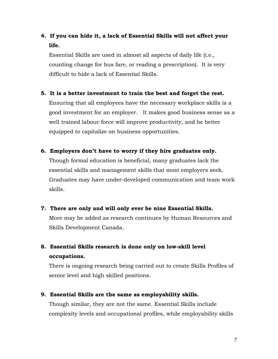# **4. If you can hide it, a lack of Essential Skills will not affect your life.**

Essential Skills are used in almost all aspects of daily life (i.e., counting change for bus fare, or reading a prescription). It is very difficult to hide a lack of Essential Skills.

# **5. It is a better investment to train the best and forget the rest.**

Ensuring that all employees have the necessary workplace skills is a good investment for an employer. It makes good business sense as a well trained labour force will improve productivity, and be better equipped to capitalize on business opportunities.

#### **6. Employers don't have to worry if they hire graduates only.**

Though formal education is beneficial, many graduates lack the essential skills and management skills that most employers seek. Graduates may have under-developed communication and team work skills.

# **7. There are only and will only ever be nine Essential Skills.**

More may be added as research continues by Human Resources and Skills Development Canada.

# **8. Essential Skills research is done only on low-skill level occupations.**

There is ongoing research being carried out to create Skills Profiles of senior level and high skilled positions.

#### **9. Essential Skills are the same as employability skills.**

Though similar, they are not the same. Essential Skills include complexity levels and occupational profiles, while employability skills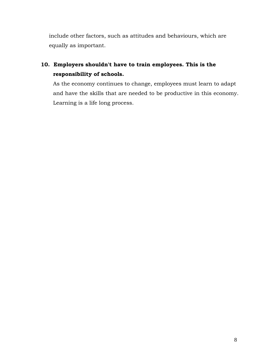include other factors, such as attitudes and behaviours, which are equally as important.

# **10. Employers shouldn't have to train employees. This is the responsibility of schools.**

As the economy continues to change, employees must learn to adapt and have the skills that are needed to be productive in this economy. Learning is a life long process.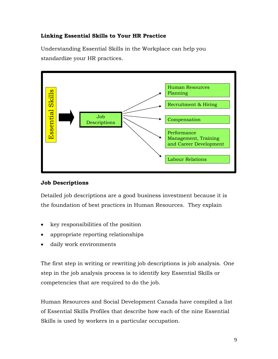# <span id="page-8-0"></span>**Linking Essential Skills to Your HR Practice**

Understanding Essential Skills in the Workplace can help you standardize your HR practices.



## **Job Descriptions**

Detailed job descriptions are a good business investment because it is the foundation of best practices in Human Resources. They explain

- key responsibilities of the position
- appropriate reporting relationships
- daily work environments

The first step in writing or rewriting job descriptions is job analysis. One step in the job analysis process is to identify key Essential Skills or competencies that are required to do the job.

Human Resources and Social Development Canada have compiled a list of Essential Skills Profiles that describe how each of the nine Essential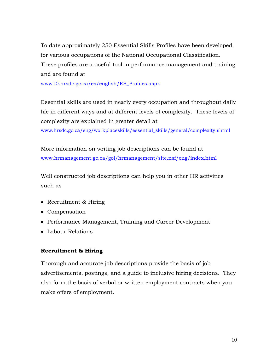<span id="page-9-0"></span>To date approximately 250 Essential Skills Profiles have been developed for various occupations of the National Occupational Classification. These profiles are a useful tool in performance management and training and are found at

[www10.hrsdc.gc.ca/es/english/ES\\_Profiles.aspx](http://www10.hrsdc.gc.ca/es/english/ES_Profiles.aspx) 

Essential skills are used in nearly every occupation and throughout daily life in different ways and at different levels of complexity. These levels of complexity are explained in greater detail at

www.hrsdc.gc.ca/eng/workplaceskills/essential\_skills/general/complexity.shtml

More information on writing job descriptions can be found at www.hrmanagement.gc.ca/gol/hrmanagement/site.nsf/eng/index.html

Well constructed job descriptions can help you in other HR activities such as

- Recruitment & Hiring
- Compensation
- Performance Management, Training and Career Development
- Labour Relations

#### **Recruitment & Hiring**

Thorough and accurate job descriptions provide the basis of job advertisements, postings, and a guide to inclusive hiring decisions. They also form the basis of verbal or written employment contracts when you make offers of employment.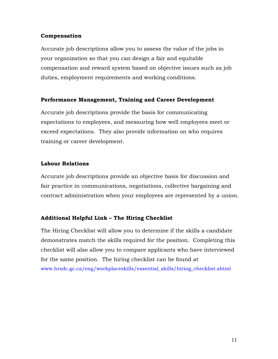#### <span id="page-10-0"></span>**Compensation**

Accurate job descriptions allow you to assess the value of the jobs in your organization so that you can design a fair and equitable compensation and reward system based on objective issues such as job duties, employment requirements and working conditions.

# **Performance Management, Training and Career Development**

Accurate job descriptions provide the basis for communicating expectations to employees, and measuring how well employees meet or exceed expectations. They also provide information on who requires training or career development.

# **Labour Relations**

Accurate job descriptions provide an objective basis for discussion and fair practice in communications, negotiations, collective bargaining and contract administration when your employees are represented by a union.

# **Additional Helpful Link – The Hiring Checklist**

The Hiring Checklist will allow you to determine if the skills a candidate demonstrates match the skills required for the position. Completing this checklist will also allow you to compare applicants who have interviewed for the same position. The hiring checklist can be found at www.hrsdc.gc.ca/eng/workplaceskills/essential\_skills/hiring\_checklist.shtml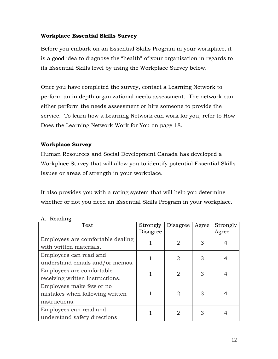# <span id="page-11-0"></span>**Workplace Essential Skills Survey**

Before you embark on an Essential Skills Program in your workplace, it is a good idea to diagnose the "health" of your organization in regards to its Essential Skills level by using the Workplace Survey below.

Once you have completed the survey, contact a Learning Network to perform an in depth organizational needs assessment. The network can either perform the needs assessment or hire someone to provide the service. To learn how a Learning Network can work for you, refer to How Does the Learning Network Work for You on page 18.

# **Workplace Survey**

Human Resources and Social Development Canada has developed a Workplace Survey that will allow you to identify potential Essential Skills issues or areas of strength in your workplace.

It also provides you with a rating system that will help you determine whether or not you need an Essential Skills Program in your workplace.

| Test                              | Strongly | Disagree | Agree | Strongly |
|-----------------------------------|----------|----------|-------|----------|
|                                   | Disagree |          |       | Agree    |
| Employees are comfortable dealing |          |          |       |          |
| with written materials.           |          | 2        | 3     | 4        |
| Employees can read and            |          | 2        | 3     | 4        |
| understand emails and/or memos.   |          |          |       |          |
| Employees are comfortable.        |          | 2        | 3     |          |
| receiving written instructions.   |          |          |       |          |
| Employees make few or no          |          |          |       |          |
| mistakes when following written   |          | 2        | 3     | 4        |
| instructions.                     |          |          |       |          |
| Employees can read and            |          | 2        | 3     |          |
| understand safety directions      |          |          |       |          |

#### A. Reading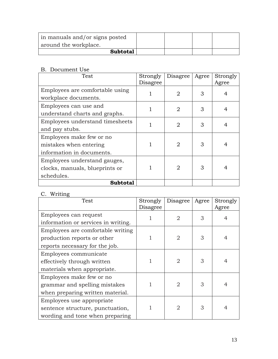| in manuals and/or signs posted<br>around the workplace. |  |  |
|---------------------------------------------------------|--|--|
| <b>Subtotal</b>                                         |  |  |

## B. Document Use

| Test                                                                            | Strongly<br>Disagree | Disagree       | Agree | Strongly<br>Agree |
|---------------------------------------------------------------------------------|----------------------|----------------|-------|-------------------|
| Employees are comfortable using<br>workplace documents.                         |                      | $\overline{2}$ | 3     | 4                 |
| Employees can use and<br>understand charts and graphs.                          |                      | $\overline{2}$ | 3     | 4                 |
| Employees understand timesheets<br>and pay stubs.                               |                      | $\overline{2}$ | 3     | 4                 |
| Employees make few or no<br>mistakes when entering<br>information in documents. |                      | 2              | 3     | 4                 |
| Employees understand gauges,<br>clocks, manuals, blueprints or<br>schedules.    |                      | 2              | 3     | 4                 |
| <b>Subtotal</b>                                                                 |                      |                |       |                   |

# C. Writing

| Test                                | Strongly | Disagree       | Agree | Strongly |
|-------------------------------------|----------|----------------|-------|----------|
|                                     | Disagree |                |       | Agree    |
| Employees can request               |          | $\overline{2}$ | 3     | 4        |
| information or services in writing. |          |                |       |          |
| Employees are comfortable writing   |          |                |       |          |
| production reports or other         |          | $\overline{2}$ | 3     | 4        |
| reports necessary for the job.      |          |                |       |          |
| Employees communicate               |          |                |       |          |
| effectively through written         |          | 2              | 3     | 4        |
| materials when appropriate.         |          |                |       |          |
| Employees make few or no            |          |                |       |          |
| grammar and spelling mistakes       |          | 2              | 3     | 4        |
| when preparing written material.    |          |                |       |          |
| Employees use appropriate           |          |                |       |          |
| sentence structure, punctuation,    |          | 2              | 3     | 4        |
| wording and tone when preparing     |          |                |       |          |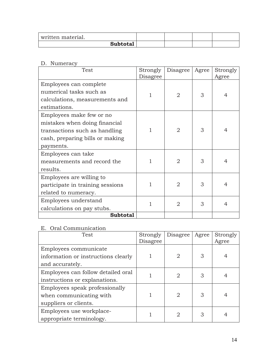| written material. |  |  |
|-------------------|--|--|
| <b>Subtotal</b>   |  |  |

D. Numeracy

| Test                             | Strongly<br>Disagree | Disagree       | Agree | Strongly<br>Agree |
|----------------------------------|----------------------|----------------|-------|-------------------|
| Employees can complete           |                      |                |       |                   |
| numerical tasks such as          |                      |                |       |                   |
| calculations, measurements and   | 1                    | 2              | 3     | 4                 |
| estimations.                     |                      |                |       |                   |
| Employees make few or no         |                      |                |       |                   |
| mistakes when doing financial    |                      |                |       |                   |
| transactions such as handling    | 1                    | 2              | 3     | 4                 |
| cash, preparing bills or making  |                      |                |       |                   |
| payments.                        |                      |                |       |                   |
| Employees can take               |                      |                |       |                   |
| measurements and record the      | 1                    | $\overline{2}$ | 3     | 4                 |
| results.                         |                      |                |       |                   |
| Employees are willing to         |                      |                |       |                   |
| participate in training sessions |                      | $\overline{2}$ | 3     | 4                 |
| related to numeracy.             |                      |                |       |                   |
| Employees understand             |                      | 2              | 3     | 4                 |
| calculations on pay stubs.       |                      |                |       |                   |
| <b>Subtotal</b>                  |                      |                |       |                   |

# E. Oral Communication

| Test                                                                               | Strongly<br>Disagree | Disagree       | Agree | Strongly<br>Agree |
|------------------------------------------------------------------------------------|----------------------|----------------|-------|-------------------|
| Employees communicate<br>information or instructions clearly<br>and accurately.    |                      | $\overline{2}$ | 3     |                   |
| Employees can follow detailed oral<br>instructions or explanations.                |                      | 2              | 3     |                   |
| Employees speak professionally<br>when communicating with<br>suppliers or clients. |                      | $\overline{2}$ | 3     | 4                 |
| Employees use workplace-<br>appropriate terminology.                               |                      | 2              | 3     |                   |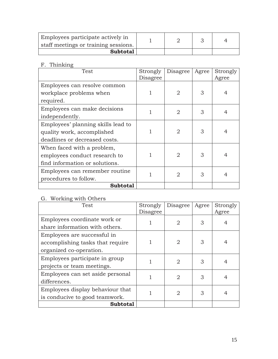| Employees participate actively in<br>staff meetings or training sessions. |  |  |
|---------------------------------------------------------------------------|--|--|
| <b>Subtotal</b>                                                           |  |  |

F. Thinking

| Test                               | Strongly<br>Disagree | Disagree       | Agree | Strongly<br>Agree |
|------------------------------------|----------------------|----------------|-------|-------------------|
| Employees can resolve common       |                      |                |       |                   |
| workplace problems when            |                      | 2              | 3     | 4                 |
| required.                          |                      |                |       |                   |
| Employees can make decisions       |                      | 2              | 3     | 4                 |
| independently.                     |                      |                |       |                   |
| Employees' planning skills lead to |                      |                |       |                   |
| quality work, accomplished         |                      | 2              | 3     | 4                 |
| deadlines or decreased costs.      |                      |                |       |                   |
| When faced with a problem,         |                      |                |       |                   |
| employees conduct research to      |                      | 2              | 3     | 4                 |
| find information or solutions.     |                      |                |       |                   |
| Employees can remember routine     |                      | $\overline{2}$ | 3     | 4                 |
| procedures to follow.              |                      |                |       |                   |
| <b>Subtotal</b>                    |                      |                |       |                   |

# G. Working with Others

| Test                             | Strongly<br>Disagree | Disagree | Agree | Strongly<br>Agree |
|----------------------------------|----------------------|----------|-------|-------------------|
| Employees coordinate work or     |                      |          | 3     | 4                 |
| share information with others.   |                      |          |       |                   |
| Employees are successful in      |                      |          |       |                   |
| accomplishing tasks that require |                      | 2        | 3     | 4                 |
| organized co-operation.          |                      |          |       |                   |
| Employees participate in group   |                      | 2        | 3     | 4                 |
| projects or team meetings.       |                      |          |       |                   |
| Employees can set aside personal |                      | 2        | 3     | 4                 |
| differences.                     |                      |          |       |                   |
| Employees display behaviour that |                      | 2        | 3     | 4                 |
| is conducive to good teamwork.   |                      |          |       |                   |
| <b>Subtotal</b>                  |                      |          |       |                   |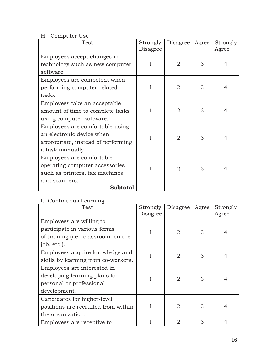# H. Computer Use

| Test                               | Strongly | Disagree       | Agree | Strongly |
|------------------------------------|----------|----------------|-------|----------|
|                                    | Disagree |                |       | Agree    |
| Employees accept changes in        |          |                |       |          |
| technology such as new computer    | 1        | $\overline{2}$ | 3     | 4        |
| software.                          |          |                |       |          |
| Employees are competent when       |          |                |       |          |
| performing computer-related        | 1        | 2              | 3     | 4        |
| tasks.                             |          |                |       |          |
| Employees take an acceptable       |          |                |       |          |
| amount of time to complete tasks   | 1        | 2              | 3     | 4        |
| using computer software.           |          |                |       |          |
| Employees are comfortable using    |          | $\overline{2}$ | 3     | 4        |
| an electronic device when          | 1        |                |       |          |
| appropriate, instead of performing |          |                |       |          |
| a task manually.                   |          |                |       |          |
| Employees are comfortable.         |          |                |       |          |
| operating computer accessories     |          | 2              | 3     | 4        |
| such as printers, fax machines     |          |                |       |          |
| and scanners.                      |          |                |       |          |
| <b>Subtotal</b>                    |          |                |       |          |

# I. Continuous Learning

| Test                                                                                                                     | Strongly<br>Disagree | Disagree       | Agree | Strongly<br>Agree |
|--------------------------------------------------------------------------------------------------------------------------|----------------------|----------------|-------|-------------------|
| Employees are willing to<br>participate in various forms<br>of training ( <i>i.e.</i> , classroom, on the<br>job, etc.). |                      | 2              | 3     | 4                 |
| Employees acquire knowledge and<br>skills by learning from co-workers.                                                   |                      | $\overline{2}$ | 3     | 4                 |
| Employees are interested in<br>developing learning plans for<br>personal or professional<br>development.                 |                      | $\overline{2}$ | 3     | $\overline{4}$    |
| Candidates for higher-level<br>positions are recruited from within<br>the organization.                                  |                      | $\overline{2}$ | 3     | 4                 |
| Employees are receptive to                                                                                               |                      | 2              | 3     | 4                 |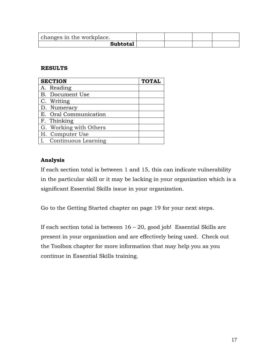| changes in the workplace. |  |  |
|---------------------------|--|--|
| Subtotal                  |  |  |

#### **RESULTS**

| <b>SECTION</b>         | <b>TOTAL</b> |
|------------------------|--------------|
| A. Reading             |              |
| B. Document Use        |              |
| C. Writing             |              |
| D. Numeracy            |              |
| E. Oral Communication  |              |
| F. Thinking            |              |
| G. Working with Others |              |
| H. Computer Use        |              |
| I. Continuous Learning |              |

# **Analysis**

If each section total is between 1 and 15, this can indicate vulnerability in the particular skill or it may be lacking in your organization which is a significant Essential Skills issue in your organization.

Go to the Getting Started chapter on page 19 for your next steps.

If each section total is between  $16 - 20$ , good job! Essential Skills are present in your organization and are effectively being used. Check out the Toolbox chapter for more information that may help you as you continue in Essential Skills training.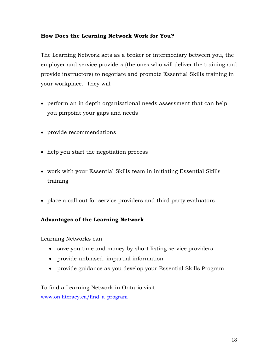# <span id="page-17-0"></span>**How Does the Learning Network Work for You?**

The Learning Network acts as a broker or intermediary between you, the employer and service providers (the ones who will deliver the training and provide instructors) to negotiate and promote Essential Skills training in your workplace. They will

- perform an in depth organizational needs assessment that can help you pinpoint your gaps and needs
- provide recommendations
- help you start the negotiation process
- work with your Essential Skills team in initiating Essential Skills training
- place a call out for service providers and third party evaluators

# **Advantages of the Learning Network**

Learning Networks can

- save you time and money by short listing service providers
- provide unbiased, impartial information
- provide guidance as you develop your Essential Skills Program

To find a Learning Network in Ontario visit www.on.literacy.ca/find\_a\_program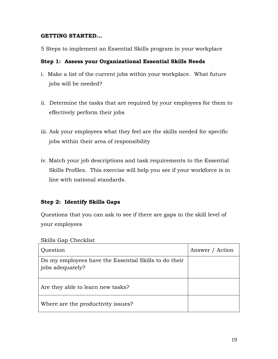#### <span id="page-18-0"></span>**GETTING STARTED...**

5 Steps to implement an Essential Skills program in your workplace

## **Step 1: Assess your Organizational Essential Skills Needs**

- i. Make a list of the current jobs within your workplace. What future jobs will be needed?
- ii. Determine the tasks that are required by your employees for them to effectively perform their jobs
- iii. Ask your employees what they feel are the skills needed for specific jobs within their area of responsibility
- iv. Match your job descriptions and task requirements to the Essential Skills Profiles. This exercise will help you see if your workforce is in line with national standards.

# **Step 2: Identify Skills Gaps**

Questions that you can ask to see if there are gaps in the skill level of your employees

Skills Gap Checklist

| Question                                                                  | Answer / Action |
|---------------------------------------------------------------------------|-----------------|
| Do my employees have the Essential Skills to do their<br>jobs adequately? |                 |
| Are they able to learn new tasks?                                         |                 |
| Where are the productivity issues?                                        |                 |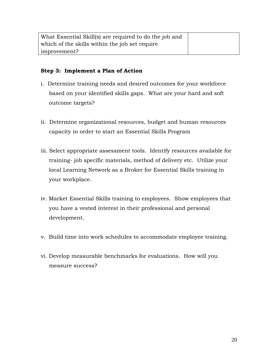<span id="page-19-0"></span>

| What Essential Skill(s) are required to do the job and |  |
|--------------------------------------------------------|--|
| which of the skills within the job set require         |  |
| improvement?                                           |  |

# **Step 3: Implement a Plan of Action**

- i. Determine training needs and desired outcomes for your workforce based on your identified skills gaps. What are your hard and soft outcome targets?
- ii. Determine organizational resources, budget and human resources capacity in order to start an Essential Skills Program
- iii. Select appropriate assessment tools. Identify resources available for training- job specific materials, method of delivery etc. Utilize your local Learning Network as a Broker for Essential Skills training in your workplace.
- iv. Market Essential Skills training to employees. Show employees that you have a vested interest in their professional and personal development.
- v. Build time into work schedules to accommodate employee training.
- vi. Develop measurable benchmarks for evaluations. How will you measure success?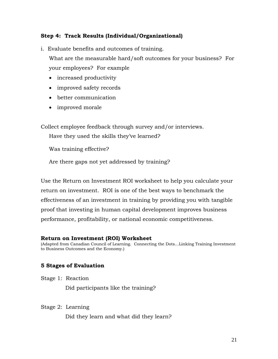## <span id="page-20-0"></span>**Step 4: Track Results (Individual/Organizational)**

i. Evaluate benefits and outcomes of training.

What are the measurable hard/soft outcomes for your business? For your employees? For example

- increased productivity
- improved safety records
- better communication
- improved morale

Collect employee feedback through survey and/or interviews.

Have they used the skills they've learned?

Was training effective?

Are there gaps not yet addressed by training?

Use the Return on Investment ROI worksheet to help you calculate your return on investment. ROI is one of the best ways to benchmark the effectiveness of an investment in training by providing you with tangible proof that investing in human capital development improves business performance, profitability, or national economic competitiveness.

#### **Return on Investment (ROI) Worksheet**

(Adapted from Canadian Council of Learning. Connecting the Dots…Linking Training Investment to Business Outcomes and the Economy.)

# **5 Stages of Evaluation**

Stage 1: Reaction

Did participants like the training?

Stage 2: Learning

Did they learn and what did they learn?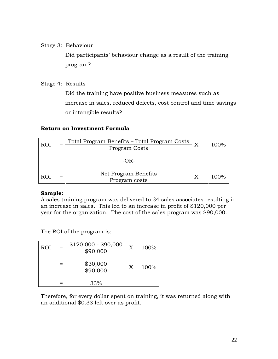Stage 3: Behaviour

Did participants' behaviour change as a result of the training program?

Stage 4: Results

Did the training have positive business measures such as increase in sales, reduced defects, cost control and time savings or intangible results?

#### **Return on Investment Formula**

| <b>ROI</b> | Total Program Benefits - Total Program Costs $_{\text{Y}}$<br>Program Costs | 100%    |
|------------|-----------------------------------------------------------------------------|---------|
|            | -OR-                                                                        |         |
| <b>ROI</b> | Net Program Benefits<br>Program costs                                       | $100\%$ |

#### **Sample:**

A sales training program was delivered to 34 sales associates resulting in an increase in sales. This led to an increase in profit of \$120,000 per year for the organization. The cost of the sales program was \$90,000.

The ROI of the program is:

| <b>ROI</b> | $$120,000 - $90,000$<br>\$90,000 | X | 100% |
|------------|----------------------------------|---|------|
|            | \$30,000<br>\$90,000             | X | 100% |
|            | 33%                              |   |      |

Therefore, for every dollar spent on training, it was returned along with an additional \$0.33 left over as profit.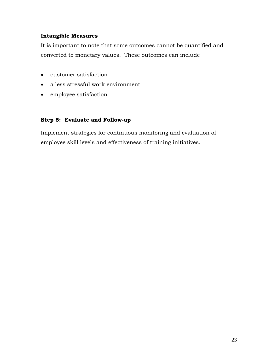# <span id="page-22-0"></span>**Intangible Measures**

It is important to note that some outcomes cannot be quantified and converted to monetary values. These outcomes can include

- customer satisfaction
- a less stressful work environment
- employee satisfaction

#### **Step 5: Evaluate and Follow-up**

Implement strategies for continuous monitoring and evaluation of employee skill levels and effectiveness of training initiatives.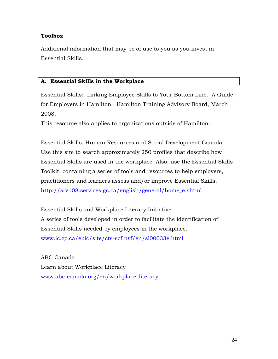## <span id="page-23-0"></span>**Toolbox**

Additional information that may be of use to you as you invest in Essential Skills.

#### **A. Essential Skills in the Workplace**

Essential Skills: Linking Employee Skills to Your Bottom Line. A Guide for Employers in Hamilton. Hamilton Training Advisory Board, March 2008.

This resource also applies to organizations outside of Hamilton.

Essential Skills, Human Resources and Social Development Canada Use this site to search approximately 250 profiles that describe how Essential Skills are used in the workplace. Also, use the Essential Skills Toolkit, containing a series of tools and resources to help employers, practitioners and learners assess and/or improve Essential Skills. http://srv108.services.gc.ca/english/general/home\_e.shtml

Essential Skills and Workplace Literacy Initiative A series of tools developed in order to facilitate the identification of Essential Skills needed by employees in the workplace. www.ic.gc.ca/epic/site/cts-scf.nsf/en/sl00033e.html

ABC Canada Learn about Workplace Literacy www.abc-canada.org/en/workplace\_literacy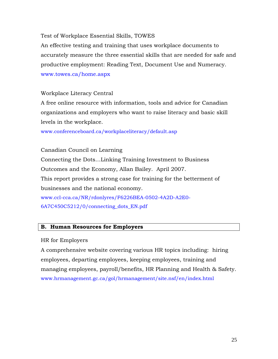<span id="page-24-0"></span>Test of Workplace Essential Skills, TOWES

An effective testing and training that uses workplace documents to accurately measure the three essential skills that are needed for safe and productive employment: Reading Text, Document Use and Numeracy. www.towes.ca/home.aspx

#### Workplace Literacy Central

A free online resource with information, tools and advice for Canadian organizations and employers who want to raise literacy and basic skill levels in the workplace.

www.conferenceboard.ca/workplaceliteracy/default.asp

Canadian Council on Learning Connecting the Dots…Linking Training Investment to Business Outcomes and the Economy, Allan Bailey. April 2007. This report provides a strong case for training for the betterment of businesses and the national economy. www.ccl-cca.ca/NR/rdonlyres/F6226BEA-0502-4A2D-A2E0- 6A7C450C5212/0/connecting\_dots\_EN.pdf

#### **B. Human Resources for Employers**

#### HR for Employers

A comprehensive website covering various HR topics including: hiring employees, departing employees, keeping employees, training and managing employees, payroll/benefits, HR Planning and Health & Safety. www.hrmanagement.gc.ca/gol/hrmanagement/site.nsf/en/index.html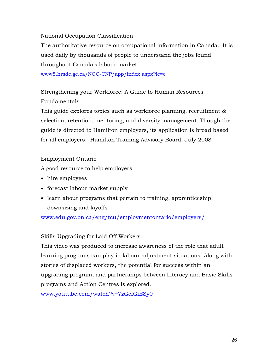National Occupation Classification

The authoritative resource on occupational information in Canada. It is used daily by thousands of people to understand the jobs found throughout Canada's labour market.

[www5.hrsdc.gc.ca/NOC-CNP/app/index.aspx?lc=e](http://www5.hrsdc.gc.ca/NOC-CNP/app/index.aspx?lc=e) 

Strengthening your Workforce: A Guide to Human Resources Fundamentals

This guide explores topics such as workforce planning, recruitment & selection, retention, mentoring, and diversity management. Though the guide is directed to Hamilton employers, its application is broad based for all employers. Hamilton Training Advisory Board, July 2008

# Employment Ontario

A good resource to help employers

- hire employees
- forecast labour market supply
- learn about programs that pertain to training, apprenticeship, downsizing and layoffs

www.edu.gov.on.ca/eng/tcu/employmentontario/employers/

# Skills Upgrading for Laid Off Workers

This video was produced to increase awareness of the role that adult learning programs can play in labour adjustment situations. Along with stories of displaced workers, the potential for success within an upgrading program, and partnerships between Literacy and Basic Skills programs and Action Centres is explored.

www.youtube.com/watch?v=7zGeIGiESy0